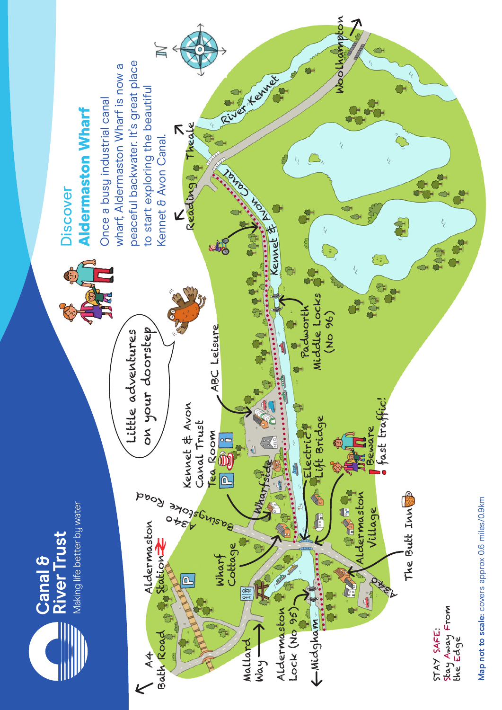